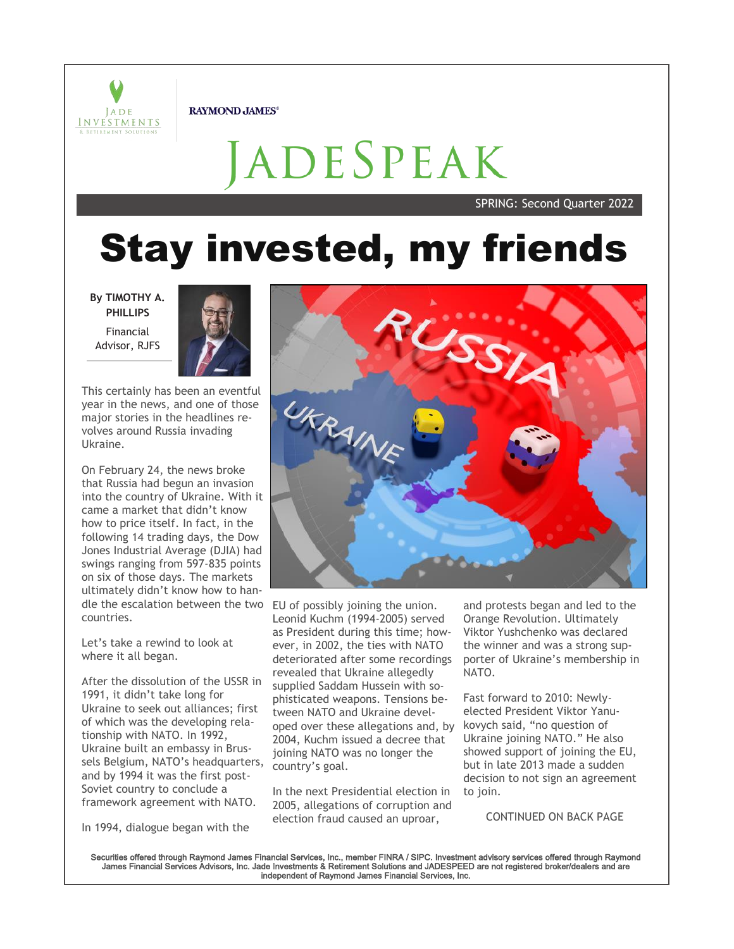

**RAYMOND JAMES®** 

# ADESPEAK

SPRING: Second Quarter 2022

## **Stay invested, my friends**

**By TIMOTHY A. PHILLIPS** Financial Advisor, RJFS



This certainly has been an eventful year in the news, and one of those major stories in the headlines revolves around Russia invading Ukraine.

On February 24, the news broke that Russia had begun an invasion into the country of Ukraine. With it came a market that didn't know how to price itself. In fact, in the following 14 trading days, the Dow Jones Industrial Average (DJIA) had swings ranging from 597-835 points on six of those days. The markets ultimately didn't know how to handle the escalation between the two EU of possibly joining the union. countries.

Let's take a rewind to look at where it all began.

After the dissolution of the USSR in 1991, it didn't take long for Ukraine to seek out alliances; first of which was the developing relationship with NATO. In 1992, Ukraine built an embassy in Brussels Belgium, NATO's headquarters, and by 1994 it was the first post-Soviet country to conclude a framework agreement with NATO.

In 1994, dialogue began with the



Leonid Kuchm (1994-2005) served as President during this time; however, in 2002, the ties with NATO deteriorated after some recordings revealed that Ukraine allegedly supplied Saddam Hussein with sophisticated weapons. Tensions between NATO and Ukraine developed over these allegations and, by 2004, Kuchm issued a decree that joining NATO was no longer the country's goal.

In the next Presidential election in 2005, allegations of corruption and election fraud caused an uproar,

and protests began and led to the Orange Revolution. Ultimately Viktor Yushchenko was declared the winner and was a strong supporter of Ukraine's membership in NATO.

Fast forward to 2010: Newlyelected President Viktor Yanukovych said, "no question of Ukraine joining NATO." He also showed support of joining the EU, but in late 2013 made a sudden decision to not sign an agreement to join.

CONTINUED ON BACK PAGE

Securities offered through Raymond James Financial Services, Inc., member FINRA / SIPC. Investment advisory services offered through Raymond James Financial Services Advisors, Inc. Jade Investments & Retirement Solutions and JADESPEED are not registered broker/dealers and are independent of Raymond James Financial Services, Inc.